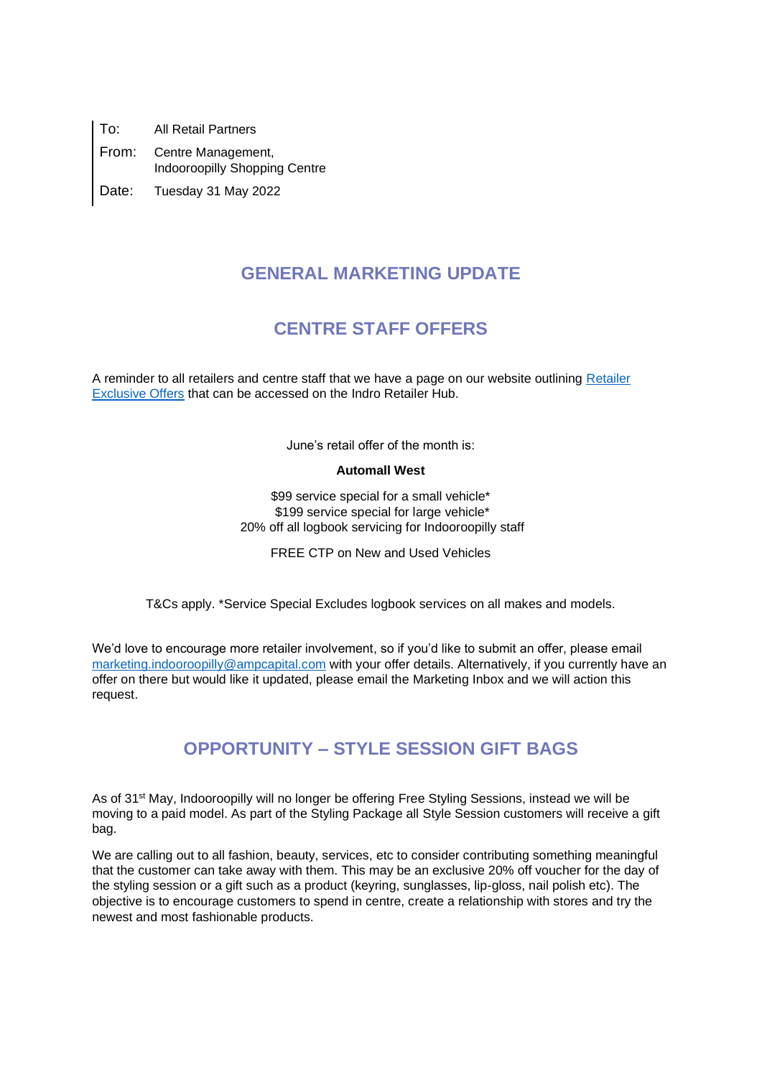To: All Retail Partners From: Centre Management, Indooroopilly Shopping Centre Date: Tuesday 31 May 2022

### **GENERAL MARKETING UPDATE**

## **CENTRE STAFF OFFERS**

A reminder to all retailers and centre staff that we have a page on our website outlining [Retailer](https://www.indooroopillyshopping.com.au/information-for-retailers/indro-retailer-hub/retailer-exclusive-offers)  [Exclusive Offers](https://www.indooroopillyshopping.com.au/information-for-retailers/indro-retailer-hub/retailer-exclusive-offers) that can be accessed on the Indro Retailer Hub.

June's retail offer of the month is:

#### **Automall West**

\$99 service special for a small vehicle\* \$199 service special for large vehicle\* 20% off all logbook servicing for Indooroopilly staff

FREE CTP on New and Used Vehicles

T&Cs apply. \*Service Special Excludes logbook services on all makes and models.

We'd love to encourage more retailer involvement, so if you'd like to submit an offer, please email [marketing.indooroopilly@ampcapital.com](mailto:marketing.indooroopilly@ampcapital.com) with your offer details. Alternatively, if you currently have an offer on there but would like it updated, please email the Marketing Inbox and we will action this request.

## **OPPORTUNITY – STYLE SESSION GIFT BAGS**

As of 31st May, Indooroopilly will no longer be offering Free Styling Sessions, instead we will be moving to a paid model. As part of the Styling Package all Style Session customers will receive a gift bag.

We are calling out to all fashion, beauty, services, etc to consider contributing something meaningful that the customer can take away with them. This may be an exclusive 20% off voucher for the day of the styling session or a gift such as a product (keyring, sunglasses, lip-gloss, nail polish etc). The objective is to encourage customers to spend in centre, create a relationship with stores and try the newest and most fashionable products.